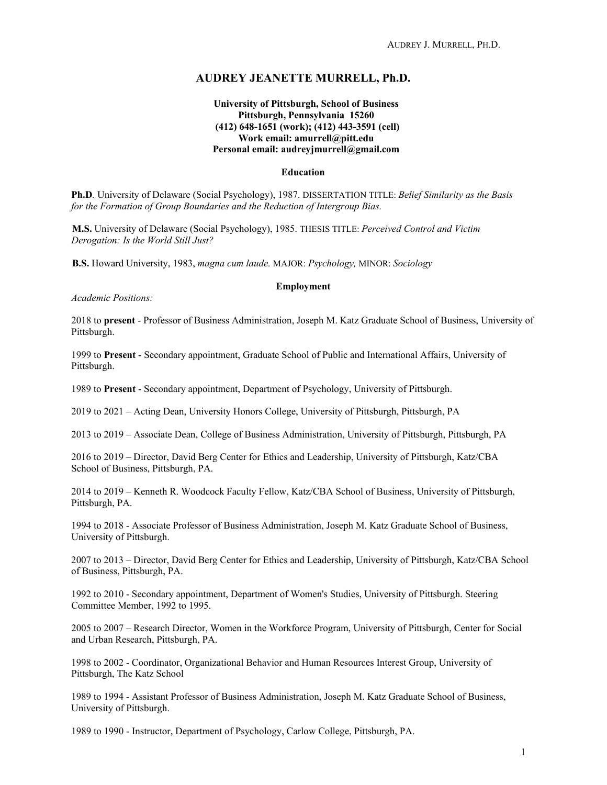# **AUDREY JEANETTE MURRELL, Ph.D.**

# **University of Pittsburgh, School of Business Pittsburgh, Pennsylvania 15260 (412) 648-1651 (work); (412) 443-3591 (cell) Work email: amurrell@pitt.edu Personal email: audreyjmurrell@gmail.com**

#### **Education**

**Ph.D***.* University of Delaware (Social Psychology), 1987. DISSERTATION TITLE: *Belief Similarity as the Basis for the Formation of Group Boundaries and the Reduction of Intergroup Bias.*

**M.S.** University of Delaware (Social Psychology), 1985. THESIS TITLE: *Perceived Control and Victim Derogation: Is the World Still Just?*

**B.S.** Howard University, 1983, *magna cum laude.* MAJOR: *Psychology,* MINOR: *Sociology*

#### **Employment**

*Academic Positions:*

2018 to **present** - Professor of Business Administration, Joseph M. Katz Graduate School of Business, University of Pittsburgh.

1999 to **Present** - Secondary appointment, Graduate School of Public and International Affairs, University of Pittsburgh.

1989 to **Present** - Secondary appointment, Department of Psychology, University of Pittsburgh.

2019 to 2021 – Acting Dean, University Honors College, University of Pittsburgh, Pittsburgh, PA

2013 to 2019 – Associate Dean, College of Business Administration, University of Pittsburgh, Pittsburgh, PA

2016 to 2019 – Director, David Berg Center for Ethics and Leadership, University of Pittsburgh, Katz/CBA School of Business, Pittsburgh, PA.

2014 to 2019 – Kenneth R. Woodcock Faculty Fellow, Katz/CBA School of Business, University of Pittsburgh, Pittsburgh, PA.

1994 to 2018 - Associate Professor of Business Administration, Joseph M. Katz Graduate School of Business, University of Pittsburgh.

2007 to 2013 – Director, David Berg Center for Ethics and Leadership, University of Pittsburgh, Katz/CBA School of Business, Pittsburgh, PA.

1992 to 2010 - Secondary appointment, Department of Women's Studies, University of Pittsburgh. Steering Committee Member, 1992 to 1995.

2005 to 2007 – Research Director, Women in the Workforce Program, University of Pittsburgh, Center for Social and Urban Research, Pittsburgh, PA.

1998 to 2002 - Coordinator, Organizational Behavior and Human Resources Interest Group, University of Pittsburgh, The Katz School

1989 to 1994 - Assistant Professor of Business Administration, Joseph M. Katz Graduate School of Business, University of Pittsburgh.

1989 to 1990 - Instructor, Department of Psychology, Carlow College, Pittsburgh, PA.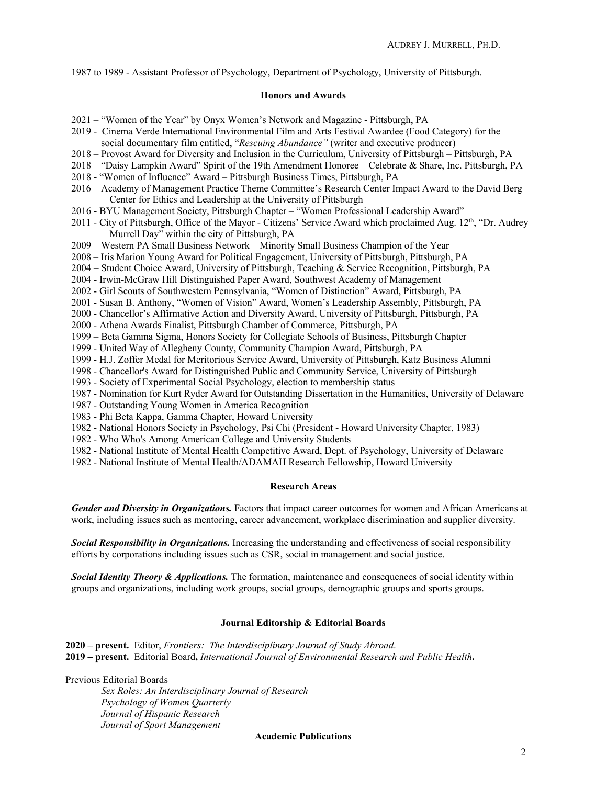1987 to 1989 - Assistant Professor of Psychology, Department of Psychology, University of Pittsburgh.

### **Honors and Awards**

- 2021 "Women of the Year" by Onyx Women's Network and Magazine Pittsburgh, PA
- 2019 Cinema Verde International Environmental Film and Arts Festival Awardee (Food Category) for the social documentary film entitled, "*Rescuing Abundance"* (writer and executive producer)
- 2018 Provost Award for Diversity and Inclusion in the Curriculum, University of Pittsburgh Pittsburgh, PA
- 2018 "Daisy Lampkin Award" Spirit of the 19th Amendment Honoree Celebrate & Share, Inc. Pittsburgh, PA
- 2018 "Women of Influence" Award Pittsburgh Business Times, Pittsburgh, PA
- 2016 Academy of Management Practice Theme Committee's Research Center Impact Award to the David Berg Center for Ethics and Leadership at the University of Pittsburgh
- 2016 BYU Management Society, Pittsburgh Chapter "Women Professional Leadership Award"
- 2011 City of Pittsburgh, Office of the Mayor Citizens' Service Award which proclaimed Aug. 12th, "Dr. Audrey Murrell Day" within the city of Pittsburgh, PA
- 2009 Western PA Small Business Network Minority Small Business Champion of the Year
- 2008 Iris Marion Young Award for Political Engagement, University of Pittsburgh, Pittsburgh, PA
- 2004 Student Choice Award, University of Pittsburgh, Teaching & Service Recognition, Pittsburgh, PA
- 2004 Irwin-McGraw Hill Distinguished Paper Award, Southwest Academy of Management
- 2002 Girl Scouts of Southwestern Pennsylvania, "Women of Distinction" Award, Pittsburgh, PA
- 2001 Susan B. Anthony, "Women of Vision" Award, Women's Leadership Assembly, Pittsburgh, PA
- 2000 Chancellor's Affirmative Action and Diversity Award, University of Pittsburgh, Pittsburgh, PA
- 2000 Athena Awards Finalist, Pittsburgh Chamber of Commerce, Pittsburgh, PA
- 1999 Beta Gamma Sigma, Honors Society for Collegiate Schools of Business, Pittsburgh Chapter
- 1999 United Way of Allegheny County, Community Champion Award, Pittsburgh, PA
- 1999 H.J. Zoffer Medal for Meritorious Service Award, University of Pittsburgh, Katz Business Alumni
- 1998 Chancellor's Award for Distinguished Public and Community Service, University of Pittsburgh
- 1993 Society of Experimental Social Psychology, election to membership status
- 1987 Nomination for Kurt Ryder Award for Outstanding Dissertation in the Humanities, University of Delaware
- 1987 Outstanding Young Women in America Recognition
- 1983 Phi Beta Kappa, Gamma Chapter, Howard University
- 1982 National Honors Society in Psychology, Psi Chi (President Howard University Chapter, 1983)
- 1982 Who Who's Among American College and University Students
- 1982 National Institute of Mental Health Competitive Award, Dept. of Psychology, University of Delaware
- 1982 National Institute of Mental Health/ADAMAH Research Fellowship, Howard University

### **Research Areas**

*Gender and Diversity in Organizations.* Factors that impact career outcomes for women and African Americans at work, including issues such as mentoring, career advancement, workplace discrimination and supplier diversity.

*Social Responsibility in Organizations.* Increasing the understanding and effectiveness of social responsibility efforts by corporations including issues such as CSR, social in management and social justice.

*Social Identity Theory & Applications.* The formation, maintenance and consequences of social identity within groups and organizations, including work groups, social groups, demographic groups and sports groups.

### **Journal Editorship & Editorial Boards**

**2020 – present.** Editor, *Frontiers: The Interdisciplinary Journal of Study Abroad*. **2019 – present.** Editorial Board**,** *International Journal of Environmental Research and Public Health***.** 

Previous Editorial Boards

*Sex Roles: An Interdisciplinary Journal of Research Psychology of Women Quarterly Journal of Hispanic Research Journal of Sport Management*

### **Academic Publications**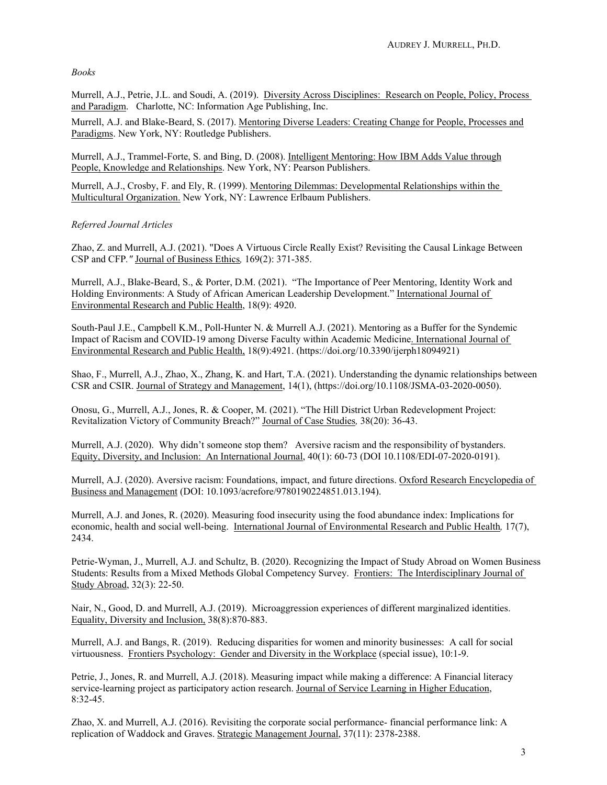# *Books*

Murrell, A.J., Petrie, J.L. and Soudi, A. (2019). Diversity Across Disciplines: Research on People, Policy, Process and Paradigm. Charlotte, NC: Information Age Publishing, Inc.

Murrell, A.J. and Blake-Beard, S. (2017). Mentoring Diverse Leaders: Creating Change for People, Processes and Paradigms. New York, NY: Routledge Publishers.

Murrell, A.J., Trammel-Forte, S. and Bing, D. (2008). Intelligent Mentoring: How IBM Adds Value through People, Knowledge and Relationships. New York, NY: Pearson Publishers.

Murrell, A.J., Crosby, F. and Ely, R. (1999). Mentoring Dilemmas: Developmental Relationships within the Multicultural Organization. New York, NY: Lawrence Erlbaum Publishers.

# *Referred Journal Articles*

Zhao, Z. and Murrell, A.J. (2021). "Does A Virtuous Circle Really Exist? Revisiting the Causal Linkage Between CSP and CFP*."* Journal of Business Ethics*,* 169(2): 371-385.

Murrell, A.J., Blake-Beard, S., & Porter, D.M. (2021). "The Importance of Peer Mentoring, Identity Work and Holding Environments: A Study of African American Leadership Development." International Journal of Environmental Research and Public Health, 18(9): 4920.

South-Paul J.E., Campbell K.M., Poll-Hunter N. & Murrell A.J. (2021). Mentoring as a Buffer for the Syndemic Impact of Racism and COVID-19 among Diverse Faculty within Academic Medicine. International Journal of Environmental Research and Public Health, 18(9):4921. (https://doi.org/10.3390/ijerph18094921)

Shao, F., Murrell, A.J., Zhao, X., Zhang, K. and Hart, T.A. (2021). Understanding the dynamic relationships between CSR and CSIR. Journal of Strategy and Management, 14(1), (https://doi.org/10.1108/JSMA-03-2020-0050).

Onosu, G., Murrell, A.J., Jones, R. & Cooper, M. (2021). "The Hill District Urban Redevelopment Project: Revitalization Victory of Community Breach?" Journal of Case Studies*,* 38(20): 36-43.

Murrell, A.J. (2020). Why didn't someone stop them? Aversive racism and the responsibility of bystanders. Equity, Diversity, and Inclusion: An International Journal, 40(1): 60-73 (DOI 10.1108/EDI-07-2020-0191).

Murrell, A.J. (2020). Aversive racism: Foundations, impact, and future directions. Oxford Research Encyclopedia of Business and Management (DOI: 10.1093/acrefore/9780190224851.013.194).

Murrell, A.J. and Jones, R. (2020). Measuring food insecurity using the food abundance index: Implications for economic, health and social well-being. International Journal of Environmental Research and Public Health*,* 17(7), 2434.

Petrie-Wyman, J., Murrell, A.J. and Schultz, B. (2020). Recognizing the Impact of Study Abroad on Women Business Students: Results from a Mixed Methods Global Competency Survey. Frontiers: The Interdisciplinary Journal of Study Abroad, 32(3): 22-50.

Nair, N., Good, D. and Murrell, A.J. (2019). Microaggression experiences of different marginalized identities. Equality, Diversity and Inclusion, 38(8):870-883.

Murrell, A.J. and Bangs, R. (2019). Reducing disparities for women and minority businesses: A call for social virtuousness. Frontiers Psychology: Gender and Diversity in the Workplace (special issue), 10:1-9.

Petrie, J., Jones, R. and Murrell, A.J. (2018). Measuring impact while making a difference: A Financial literacy service-learning project as participatory action research. Journal of Service Learning in Higher Education, 8:32-45.

Zhao, X. and Murrell, A.J. (2016). Revisiting the corporate social performance- financial performance link: A replication of Waddock and Graves. Strategic Management Journal, 37(11): 2378-2388.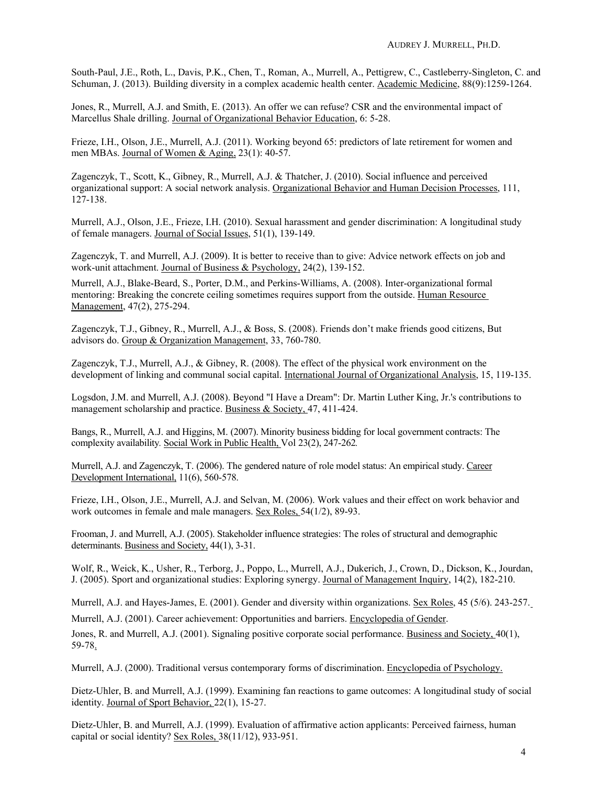South-Paul, J.E., Roth, L., Davis, P.K., Chen, T., Roman, A., Murrell, A., Pettigrew, C., Castleberry-Singleton, C. and Schuman, J. (2013). Building diversity in a complex academic health center. Academic Medicine, 88(9):1259-1264.

Jones, R., Murrell, A.J. and Smith, E. (2013). An offer we can refuse? CSR and the environmental impact of Marcellus Shale drilling. Journal of Organizational Behavior Education, 6: 5-28.

Frieze, I.H., Olson, J.E., Murrell, A.J. (2011). Working beyond 65: predictors of late retirement for women and men MBAs. Journal of Women & Aging, 23(1): 40-57.

Zagenczyk, T., Scott, K., Gibney, R., Murrell, A.J. & Thatcher, J. (2010). Social influence and perceived organizational support: A social network analysis. Organizational Behavior and Human Decision Processes, 111, 127-138.

Murrell, A.J., Olson, J.E., Frieze, I.H. (2010). Sexual harassment and gender discrimination: A longitudinal study of female managers. Journal of Social Issues, 51(1), 139-149.

Zagenczyk, T. and Murrell, A.J. (2009). It is better to receive than to give: Advice network effects on job and work-unit attachment. Journal of Business & Psychology, 24(2), 139-152.

Murrell, A.J., Blake-Beard, S., Porter, D.M., and Perkins-Williams, A. (2008). Inter-organizational formal mentoring: Breaking the concrete ceiling sometimes requires support from the outside. Human Resource Management, 47(2), 275-294.

Zagenczyk, T.J., Gibney, R., Murrell, A.J., & Boss, S. (2008). Friends don't make friends good citizens, But advisors do. Group & Organization Management, 33, 760-780.

Zagenczyk, T.J., Murrell, A.J., & Gibney, R. (2008). The effect of the physical work environment on the development of linking and communal social capital. International Journal of Organizational Analysis, 15, 119-135.

Logsdon, J.M. and Murrell, A.J. (2008). Beyond "I Have a Dream": Dr. Martin Luther King, Jr.'s contributions to management scholarship and practice. Business & Society, 47, 411-424.

Bangs, R., Murrell, A.J. and Higgins, M. (2007). Minority business bidding for local government contracts: The complexity availability*.* Social Work in Public Health, Vol 23(2), 247-262*.* 

Murrell, A.J. and Zagenczyk, T. (2006). The gendered nature of role model status: An empirical study. Career Development International, 11(6), 560-578.

Frieze, I.H., Olson, J.E., Murrell, A.J. and Selvan, M. (2006). Work values and their effect on work behavior and work outcomes in female and male managers. Sex Roles, 54(1/2), 89-93.

Frooman, J. and Murrell, A.J. (2005). Stakeholder influence strategies: The roles of structural and demographic determinants. Business and Society, 44(1), 3-31.

Wolf, R., Weick, K., Usher, R., Terborg, J., Poppo, L., Murrell, A.J., Dukerich, J., Crown, D., Dickson, K., Jourdan, J. (2005). Sport and organizational studies: Exploring synergy. Journal of Management Inquiry, 14(2), 182-210.

Murrell, A.J. and Hayes-James, E. (2001). Gender and diversity within organizations. Sex Roles, 45 (5/6). 243-257.

Murrell, A.J. (2001). Career achievement: Opportunities and barriers. Encyclopedia of Gender.

Jones, R. and Murrell, A.J. (2001). Signaling positive corporate social performance. Business and Society, 40(1), 59-78.

Murrell, A.J. (2000). Traditional versus contemporary forms of discrimination. Encyclopedia of Psychology.

Dietz-Uhler, B. and Murrell, A.J. (1999). Examining fan reactions to game outcomes: A longitudinal study of social identity. Journal of Sport Behavior, 22(1), 15-27.

Dietz-Uhler, B. and Murrell, A.J. (1999). Evaluation of affirmative action applicants: Perceived fairness, human capital or social identity? Sex Roles, 38(11/12), 933-951.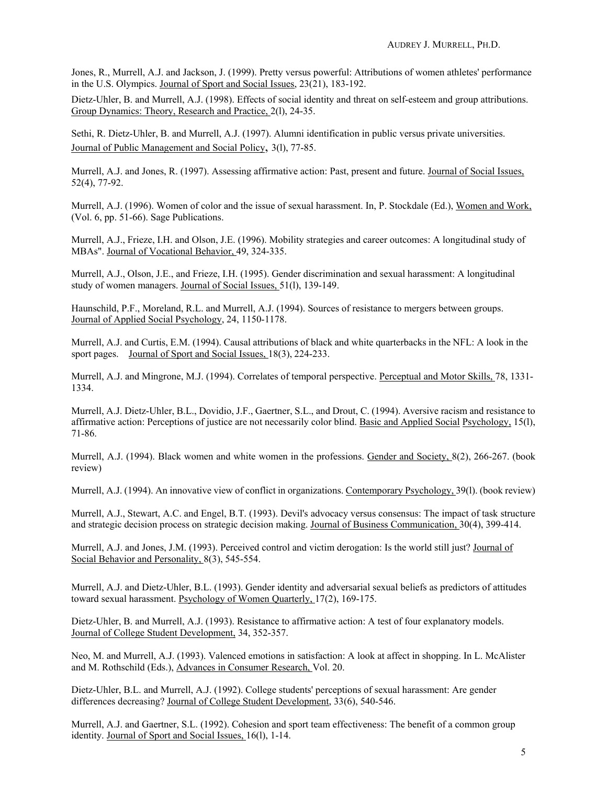Jones, R., Murrell, A.J. and Jackson, J. (1999). Pretty versus powerful: Attributions of women athletes' performance in the U.S. Olympics. Journal of Sport and Social Issues, 23(21), 183-192.

Dietz-Uhler, B. and Murrell, A.J. (1998). Effects of social identity and threat on self-esteem and group attributions. Group Dynamics: Theory, Research and Practice, 2(l), 24-35.

Sethi, R. Dietz-Uhler, B. and Murrell, A.J. (1997). Alumni identification in public versus private universities. Journal of Public Management and Social Policy, 3(l), 77-85.

Murrell, A.J. and Jones, R. (1997). Assessing affirmative action: Past, present and future. Journal of Social Issues, 52(4), 77-92.

Murrell, A.J. (1996). Women of color and the issue of sexual harassment. In, P. Stockdale (Ed.), Women and Work, (Vol. 6, pp. 51-66). Sage Publications.

Murrell, A.J., Frieze, I.H. and Olson, J.E. (1996). Mobility strategies and career outcomes: A longitudinal study of MBAs". Journal of Vocational Behavior, 49, 324-335.

Murrell, A.J., Olson, J.E., and Frieze, I.H. (1995). Gender discrimination and sexual harassment: A longitudinal study of women managers. Journal of Social Issues, 51(l), 139-149.

Haunschild, P.F., Moreland, R.L. and Murrell, A.J. (1994). Sources of resistance to mergers between groups. Journal of Applied Social Psychology, 24, 1150-1178.

Murrell, A.J. and Curtis, E.M. (1994). Causal attributions of black and white quarterbacks in the NFL: A look in the sport pages. Journal of Sport and Social Issues, 18(3), 224-233.

Murrell, A.J. and Mingrone, M.J. (1994). Correlates of temporal perspective. Perceptual and Motor Skills, 78, 1331-1334.

Murrell, A.J. Dietz-Uhler, B.L., Dovidio, J.F., Gaertner, S.L., and Drout, C. (1994). Aversive racism and resistance to affirmative action: Perceptions of justice are not necessarily color blind. Basic and Applied Social Psychology, 15(l), 71-86.

Murrell, A.J. (1994). Black women and white women in the professions. Gender and Society, 8(2), 266-267. (book review)

Murrell, A.J. (1994). An innovative view of conflict in organizations. Contemporary Psychology, 39(l). (book review)

Murrell, A.J., Stewart, A.C. and Engel, B.T. (1993). Devil's advocacy versus consensus: The impact of task structure and strategic decision process on strategic decision making. Journal of Business Communication, 30(4), 399-414.

Murrell, A.J. and Jones, J.M. (1993). Perceived control and victim derogation: Is the world still just? Journal of Social Behavior and Personality, 8(3), 545-554.

Murrell, A.J. and Dietz-Uhler, B.L. (1993). Gender identity and adversarial sexual beliefs as predictors of attitudes toward sexual harassment. Psychology of Women Quarterly, 17(2), 169-175.

Dietz-Uhler, B. and Murrell, A.J. (1993). Resistance to affirmative action: A test of four explanatory models. Journal of College Student Development, 34, 352-357.

Neo, M. and Murrell, A.J. (1993). Valenced emotions in satisfaction: A look at affect in shopping. In L. McAlister and M. Rothschild (Eds.), Advances in Consumer Research, Vol. 20.

Dietz-Uhler, B.L. and Murrell, A.J. (1992). College students' perceptions of sexual harassment: Are gender differences decreasing? Journal of College Student Development, 33(6), 540-546.

Murrell, A.J. and Gaertner, S.L. (1992). Cohesion and sport team effectiveness: The benefit of a common group identity. Journal of Sport and Social Issues, 16(l), 1-14.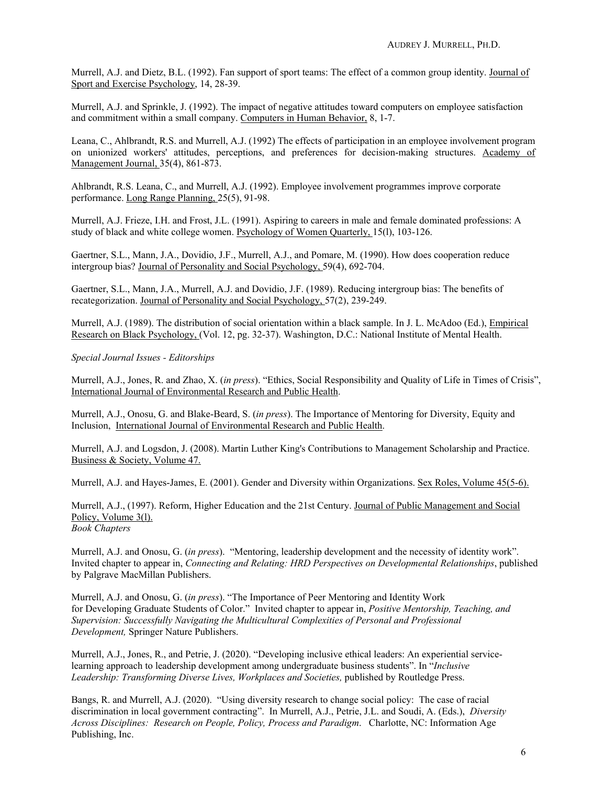Murrell, A.J. and Dietz, B.L. (1992). Fan support of sport teams: The effect of a common group identity. Journal of Sport and Exercise Psychology, 14, 28-39.

Murrell, A.J. and Sprinkle, J. (1992). The impact of negative attitudes toward computers on employee satisfaction and commitment within a small company. Computers in Human Behavior, 8, 1-7.

Leana, C., Ahlbrandt, R.S. and Murrell, A.J. (1992) The effects of participation in an employee involvement program on unionized workers' attitudes, perceptions, and preferences for decision-making structures. Academy of Management Journal, 35(4), 861-873.

Ahlbrandt, R.S. Leana, C., and Murrell, A.J. (1992). Employee involvement programmes improve corporate performance. Long Range Planning, 25(5), 91-98.

Murrell, A.J. Frieze, I.H. and Frost, J.L. (1991). Aspiring to careers in male and female dominated professions: A study of black and white college women. Psychology of Women Quarterly, 15(l), 103-126.

Gaertner, S.L., Mann, J.A., Dovidio, J.F., Murrell, A.J., and Pomare, M. (1990). How does cooperation reduce intergroup bias? Journal of Personality and Social Psychology, 59(4), 692-704.

Gaertner, S.L., Mann, J.A., Murrell, A.J. and Dovidio, J.F. (1989). Reducing intergroup bias: The benefits of recategorization. Journal of Personality and Social Psychology, 57(2), 239-249.

Murrell, A.J. (1989). The distribution of social orientation within a black sample. In J. L. McAdoo (Ed.), Empirical Research on Black Psychology, (Vol. 12, pg. 32-37). Washington, D.C.: National Institute of Mental Health.

# *Special Journal Issues - Editorships*

Murrell, A.J., Jones, R. and Zhao, X. (*in press*). "Ethics, Social Responsibility and Quality of Life in Times of Crisis", International Journal of Environmental Research and Public Health.

Murrell, A.J., Onosu, G. and Blake-Beard, S. (*in press*). The Importance of Mentoring for Diversity, Equity and Inclusion, International Journal of Environmental Research and Public Health.

Murrell, A.J. and Logsdon, J. (2008). Martin Luther King's Contributions to Management Scholarship and Practice. Business & Society, Volume 47.

Murrell, A.J. and Hayes-James, E. (2001). Gender and Diversity within Organizations. Sex Roles, Volume 45(5-6).

Murrell, A.J., (1997). Reform, Higher Education and the 21st Century. Journal of Public Management and Social Policy, Volume 3(1).

*Book Chapters*

Murrell, A.J. and Onosu, G. (*in press*). "Mentoring, leadership development and the necessity of identity work". Invited chapter to appear in, *Connecting and Relating: HRD Perspectives on Developmental Relationships*, published by Palgrave MacMillan Publishers.

Murrell, A.J. and Onosu, G. (*in press*). "The Importance of Peer Mentoring and Identity Work for Developing Graduate Students of Color." Invited chapter to appear in, *Positive Mentorship, Teaching, and Supervision: Successfully Navigating the Multicultural Complexities of Personal and Professional Development,* Springer Nature Publishers.

Murrell, A.J., Jones, R., and Petrie, J. (2020). "Developing inclusive ethical leaders: An experiential servicelearning approach to leadership development among undergraduate business students". In "*Inclusive Leadership: Transforming Diverse Lives, Workplaces and Societies,* published by Routledge Press.

Bangs, R. and Murrell, A.J. (2020). "Using diversity research to change social policy: The case of racial discrimination in local government contracting". In Murrell, A.J., Petrie, J.L. and Soudi, A. (Eds.), *Diversity Across Disciplines: Research on People, Policy, Process and Paradigm*. Charlotte, NC: Information Age Publishing, Inc.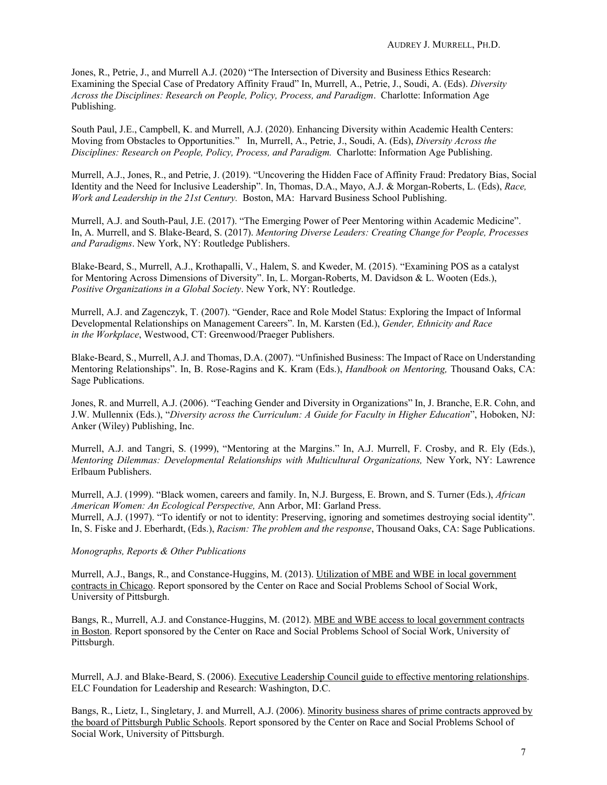Jones, R., Petrie, J., and Murrell A.J. (2020) "The Intersection of Diversity and Business Ethics Research: Examining the Special Case of Predatory Affinity Fraud" In, Murrell, A., Petrie, J., Soudi, A. (Eds). *Diversity Across the Disciplines: Research on People, Policy, Process, and Paradigm*. Charlotte: Information Age Publishing.

South Paul, J.E., Campbell, K. and Murrell, A.J. (2020). Enhancing Diversity within Academic Health Centers: Moving from Obstacles to Opportunities." In, Murrell, A., Petrie, J., Soudi, A. (Eds), *Diversity Across the Disciplines: Research on People, Policy, Process, and Paradigm.* Charlotte: Information Age Publishing.

Murrell, A.J., Jones, R., and Petrie, J. (2019). "Uncovering the Hidden Face of Affinity Fraud: Predatory Bias, Social Identity and the Need for Inclusive Leadership". In, Thomas, D.A., Mayo, A.J. & Morgan-Roberts, L. (Eds), *Race, Work and Leadership in the 21st Century.* Boston, MA: Harvard Business School Publishing.

Murrell, A.J. and South-Paul, J.E. (2017). "The Emerging Power of Peer Mentoring within Academic Medicine". In, A. Murrell, and S. Blake-Beard, S. (2017). *Mentoring Diverse Leaders: Creating Change for People, Processes and Paradigms*. New York, NY: Routledge Publishers.

Blake-Beard, S., Murrell, A.J., Krothapalli, V., Halem, S. and Kweder, M. (2015). "Examining POS as a catalyst for Mentoring Across Dimensions of Diversity". In, L. Morgan-Roberts, M. Davidson & L. Wooten (Eds.), *Positive Organizations in a Global Society*. New York, NY: Routledge.

Murrell, A.J. and Zagenczyk, T. (2007). "Gender, Race and Role Model Status: Exploring the Impact of Informal Developmental Relationships on Management Careers". In, M. Karsten (Ed.), *Gender, Ethnicity and Race in the Workplace*, Westwood, CT: Greenwood/Praeger Publishers.

Blake-Beard, S., Murrell, A.J. and Thomas, D.A. (2007). "Unfinished Business: The Impact of Race on Understanding Mentoring Relationships". In, B. Rose-Ragins and K. Kram (Eds.), *Handbook on Mentoring,* Thousand Oaks, CA: Sage Publications.

Jones, R. and Murrell, A.J. (2006). "Teaching Gender and Diversity in Organizations" In, J. Branche, E.R. Cohn, and J.W. Mullennix (Eds.), "*Diversity across the Curriculum: A Guide for Faculty in Higher Education*", Hoboken, NJ: Anker (Wiley) Publishing, Inc.

Murrell, A.J. and Tangri, S. (1999), "Mentoring at the Margins." In, A.J. Murrell, F. Crosby, and R. Ely (Eds.), *Mentoring Dilemmas: Developmental Relationships with Multicultural Organizations, New York, NY: Lawrence* Erlbaum Publishers.

Murrell, A.J. (1999). "Black women, careers and family. In, N.J. Burgess, E. Brown, and S. Turner (Eds.), *African American Women: An Ecological Perspective,* Ann Arbor, MI: Garland Press. Murrell, A.J. (1997). "To identify or not to identity: Preserving, ignoring and sometimes destroying social identity". In, S. Fiske and J. Eberhardt, (Eds.), *Racism: The problem and the response*, Thousand Oaks, CA: Sage Publications.

# *Monographs, Reports & Other Publications*

Murrell, A.J., Bangs, R., and Constance-Huggins, M. (2013). Utilization of MBE and WBE in local government contracts in Chicago. Report sponsored by the Center on Race and Social Problems School of Social Work, University of Pittsburgh.

Bangs, R., Murrell, A.J. and Constance-Huggins, M. (2012). MBE and WBE access to local government contracts in Boston. Report sponsored by the Center on Race and Social Problems School of Social Work, University of Pittsburgh.

Murrell, A.J. and Blake-Beard, S. (2006). Executive Leadership Council guide to effective mentoring relationships. ELC Foundation for Leadership and Research: Washington, D.C.

Bangs, R., Lietz, I., Singletary, J. and Murrell, A.J. (2006). Minority business shares of prime contracts approved by the board of Pittsburgh Public Schools. Report sponsored by the Center on Race and Social Problems School of Social Work, University of Pittsburgh.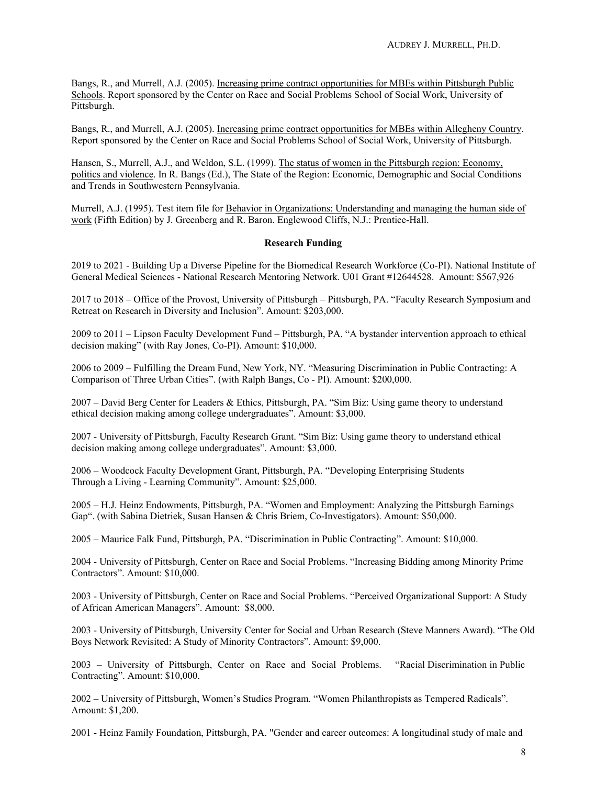Bangs, R., and Murrell, A.J. (2005). Increasing prime contract opportunities for MBEs within Pittsburgh Public Schools. Report sponsored by the Center on Race and Social Problems School of Social Work, University of Pittsburgh.

Bangs, R., and Murrell, A.J. (2005). Increasing prime contract opportunities for MBEs within Allegheny Country. Report sponsored by the Center on Race and Social Problems School of Social Work, University of Pittsburgh.

Hansen, S., Murrell, A.J., and Weldon, S.L. (1999). The status of women in the Pittsburgh region: Economy, politics and violence. In R. Bangs (Ed.), The State of the Region: Economic, Demographic and Social Conditions and Trends in Southwestern Pennsylvania.

Murrell, A.J. (1995). Test item file for Behavior in Organizations: Understanding and managing the human side of work (Fifth Edition) by J. Greenberg and R. Baron. Englewood Cliffs, N.J.: Prentice-Hall.

## **Research Funding**

2019 to 2021 - Building Up a Diverse Pipeline for the Biomedical Research Workforce (Co-PI). National Institute of General Medical Sciences - National Research Mentoring Network. U01 Grant #12644528. Amount: \$567,926

2017 to 2018 – Office of the Provost, University of Pittsburgh – Pittsburgh, PA. "Faculty Research Symposium and Retreat on Research in Diversity and Inclusion". Amount: \$203,000.

2009 to 2011 – Lipson Faculty Development Fund – Pittsburgh, PA. "A bystander intervention approach to ethical decision making" (with Ray Jones, Co-PI). Amount: \$10,000.

2006 to 2009 – Fulfilling the Dream Fund, New York, NY. "Measuring Discrimination in Public Contracting: A Comparison of Three Urban Cities". (with Ralph Bangs, Co - PI). Amount: \$200,000.

2007 – David Berg Center for Leaders & Ethics, Pittsburgh, PA. "Sim Biz: Using game theory to understand ethical decision making among college undergraduates". Amount: \$3,000.

2007 - University of Pittsburgh, Faculty Research Grant. "Sim Biz: Using game theory to understand ethical decision making among college undergraduates". Amount: \$3,000.

2006 – Woodcock Faculty Development Grant, Pittsburgh, PA. "Developing Enterprising Students Through a Living - Learning Community". Amount: \$25,000.

2005 – H.J. Heinz Endowments, Pittsburgh, PA. "Women and Employment: Analyzing the Pittsburgh Earnings Gap". (with Sabina Dietriek, Susan Hansen & Chris Briem, Co-Investigators). Amount: \$50,000.

2005 – Maurice Falk Fund, Pittsburgh, PA. "Discrimination in Public Contracting". Amount: \$10,000.

2004 - University of Pittsburgh, Center on Race and Social Problems. "Increasing Bidding among Minority Prime Contractors". Amount: \$10,000.

2003 - University of Pittsburgh, Center on Race and Social Problems. "Perceived Organizational Support: A Study of African American Managers". Amount: \$8,000.

2003 - University of Pittsburgh, University Center for Social and Urban Research (Steve Manners Award). "The Old Boys Network Revisited: A Study of Minority Contractors". Amount: \$9,000.

2003 – University of Pittsburgh, Center on Race and Social Problems. "Racial Discrimination in Public Contracting". Amount: \$10,000.

2002 – University of Pittsburgh, Women's Studies Program. "Women Philanthropists as Tempered Radicals". Amount: \$1,200.

2001 - Heinz Family Foundation, Pittsburgh, PA. "Gender and career outcomes: A longitudinal study of male and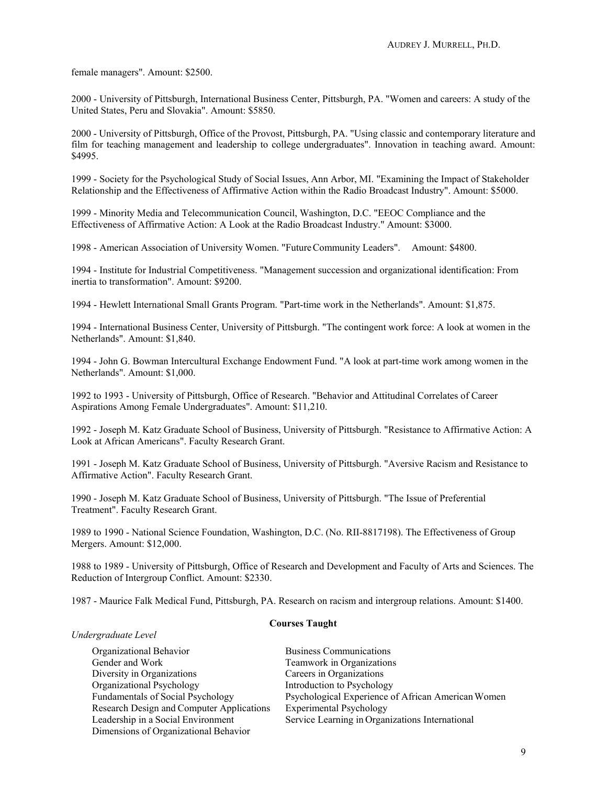female managers". Amount: \$2500.

2000 - University of Pittsburgh, International Business Center, Pittsburgh, PA. "Women and careers: A study of the United States, Peru and Slovakia". Amount: \$5850.

2000 - University of Pittsburgh, Office of the Provost, Pittsburgh, PA. "Using classic and contemporary literature and film for teaching management and leadership to college undergraduates". Innovation in teaching award. Amount: \$4995.

1999 - Society for the Psychological Study of Social Issues, Ann Arbor, MI. "Examining the Impact of Stakeholder Relationship and the Effectiveness of Affirmative Action within the Radio Broadcast Industry". Amount: \$5000.

1999 - Minority Media and Telecommunication Council, Washington, D.C. "EEOC Compliance and the Effectiveness of Affirmative Action: A Look at the Radio Broadcast Industry." Amount: \$3000.

1998 - American Association of University Women. "FutureCommunity Leaders". Amount: \$4800.

1994 - Institute for Industrial Competitiveness. "Management succession and organizational identification: From inertia to transformation". Amount: \$9200.

1994 - Hewlett International Small Grants Program. "Part-time work in the Netherlands". Amount: \$1,875.

1994 - International Business Center, University of Pittsburgh. "The contingent work force: A look at women in the Netherlands". Amount: \$1,840.

1994 - John G. Bowman Intercultural Exchange Endowment Fund. "A look at part-time work among women in the Netherlands". Amount: \$1,000.

1992 to 1993 - University of Pittsburgh, Office of Research. "Behavior and Attitudinal Correlates of Career Aspirations Among Female Undergraduates". Amount: \$11,210.

1992 - Joseph M. Katz Graduate School of Business, University of Pittsburgh. "Resistance to Affirmative Action: A Look at African Americans". Faculty Research Grant.

1991 - Joseph M. Katz Graduate School of Business, University of Pittsburgh. "Aversive Racism and Resistance to Affirmative Action". Faculty Research Grant.

1990 - Joseph M. Katz Graduate School of Business, University of Pittsburgh. "The Issue of Preferential Treatment". Faculty Research Grant.

1989 to 1990 - National Science Foundation, Washington, D.C. (No. RII-8817198). The Effectiveness of Group Mergers. Amount: \$12,000.

1988 to 1989 - University of Pittsburgh, Office of Research and Development and Faculty of Arts and Sciences. The Reduction of Intergroup Conflict. Amount: \$2330.

1987 - Maurice Falk Medical Fund, Pittsburgh, PA. Research on racism and intergroup relations. Amount: \$1400.

# **Courses Taught**

## *Undergraduate Level*

Organizational Behavior Business Communications Gender and Work Teamwork in Organizations Diversity in Organizations Careers in Organizations Organizational Psychology Introduction to Psychology Research Design and Computer Applications Experimental Psychology<br>Leadership in a Social Environment Service Learning in Organ Dimensions of Organizational Behavior

Fundamentals of Social Psychology Psychological Experience of African AmericanWomen Service Learning in Organizations International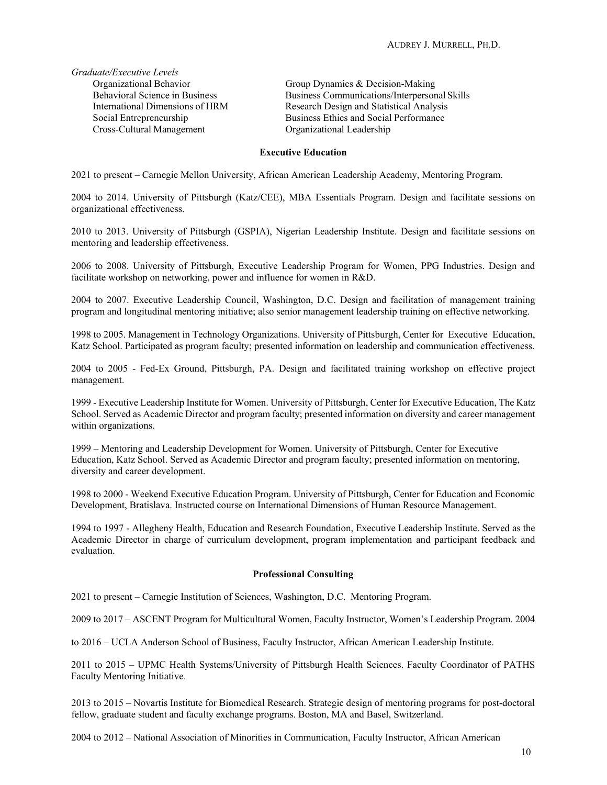*Graduate/Executive Levels*  Cross-Cultural Management

Organizational Behavior Group Dynamics & Decision-Making<br>
Behavioral Science in Business Guiness Business Communications/Interperson Business Communications/Interpersonal Skills International Dimensions of HRM Research Design and Statistical Analysis Social Entrepreneurship<br>
Cross-Cultural Management<br>
Cross-Cultural Management<br>
Cross-Cultural Management<br>
Cross-Cultural Management<br>
Cross-Cultural Management

## **Executive Education**

2021 to present – Carnegie Mellon University, African American Leadership Academy, Mentoring Program.

2004 to 2014. University of Pittsburgh (Katz/CEE), MBA Essentials Program. Design and facilitate sessions on organizational effectiveness.

2010 to 2013. University of Pittsburgh (GSPIA), Nigerian Leadership Institute. Design and facilitate sessions on mentoring and leadership effectiveness.

2006 to 2008. University of Pittsburgh, Executive Leadership Program for Women, PPG Industries. Design and facilitate workshop on networking, power and influence for women in R&D.

2004 to 2007. Executive Leadership Council, Washington, D.C. Design and facilitation of management training program and longitudinal mentoring initiative; also senior management leadership training on effective networking.

1998 to 2005. Management in Technology Organizations. University of Pittsburgh, Center for Executive Education, Katz School. Participated as program faculty; presented information on leadership and communication effectiveness.

2004 to 2005 - Fed-Ex Ground, Pittsburgh, PA. Design and facilitated training workshop on effective project management.

1999 - Executive Leadership Institute for Women. University of Pittsburgh, Center for Executive Education, The Katz School. Served as Academic Director and program faculty; presented information on diversity and career management within organizations.

1999 – Mentoring and Leadership Development for Women. University of Pittsburgh, Center for Executive Education, Katz School. Served as Academic Director and program faculty; presented information on mentoring, diversity and career development.

1998 to 2000 - Weekend Executive Education Program. University of Pittsburgh, Center for Education and Economic Development, Bratislava. Instructed course on International Dimensions of Human Resource Management.

1994 to 1997 - Allegheny Health, Education and Research Foundation, Executive Leadership Institute. Served as the Academic Director in charge of curriculum development, program implementation and participant feedback and evaluation.

#### **Professional Consulting**

2021 to present – Carnegie Institution of Sciences, Washington, D.C. Mentoring Program.

2009 to 2017 – ASCENT Program for Multicultural Women, Faculty Instructor, Women's Leadership Program. 2004

to 2016 – UCLA Anderson School of Business, Faculty Instructor, African American Leadership Institute.

2011 to 2015 – UPMC Health Systems/University of Pittsburgh Health Sciences. Faculty Coordinator of PATHS Faculty Mentoring Initiative.

2013 to 2015 – Novartis Institute for Biomedical Research. Strategic design of mentoring programs for post-doctoral fellow, graduate student and faculty exchange programs. Boston, MA and Basel, Switzerland.

2004 to 2012 – National Association of Minorities in Communication, Faculty Instructor, African American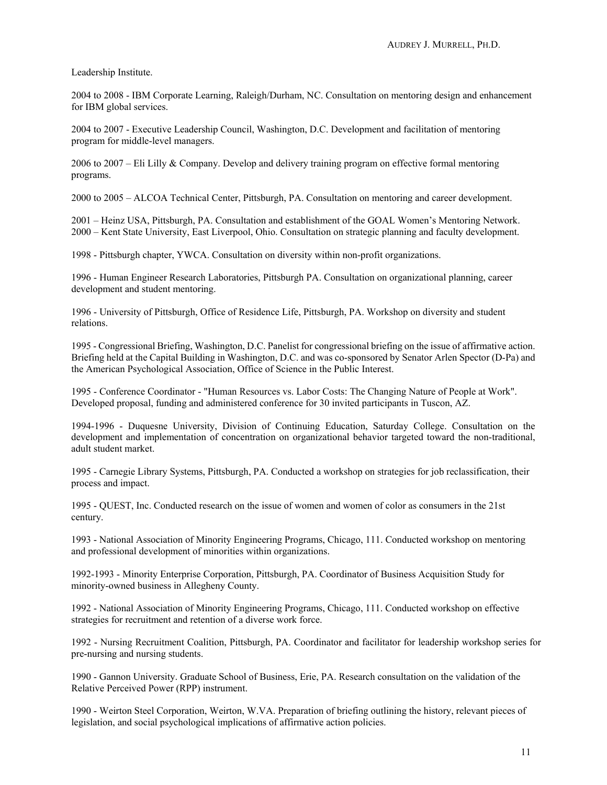Leadership Institute.

2004 to 2008 - IBM Corporate Learning, Raleigh/Durham, NC. Consultation on mentoring design and enhancement for IBM global services.

2004 to 2007 - Executive Leadership Council, Washington, D.C. Development and facilitation of mentoring program for middle-level managers.

2006 to 2007 – Eli Lilly & Company. Develop and delivery training program on effective formal mentoring programs.

2000 to 2005 – ALCOA Technical Center, Pittsburgh, PA. Consultation on mentoring and career development.

2001 – Heinz USA, Pittsburgh, PA. Consultation and establishment of the GOAL Women's Mentoring Network. 2000 – Kent State University, East Liverpool, Ohio. Consultation on strategic planning and faculty development.

1998 - Pittsburgh chapter, YWCA. Consultation on diversity within non-profit organizations.

1996 - Human Engineer Research Laboratories, Pittsburgh PA. Consultation on organizational planning, career development and student mentoring.

1996 - University of Pittsburgh, Office of Residence Life, Pittsburgh, PA. Workshop on diversity and student relations.

1995 - Congressional Briefing, Washington, D.C. Panelist for congressional briefing on the issue of affirmative action. Briefing held at the Capital Building in Washington, D.C. and was co-sponsored by Senator Arlen Spector (D-Pa) and the American Psychological Association, Office of Science in the Public Interest.

1995 - Conference Coordinator - "Human Resources vs. Labor Costs: The Changing Nature of People at Work". Developed proposal, funding and administered conference for 30 invited participants in Tuscon, AZ.

1994-1996 - Duquesne University, Division of Continuing Education, Saturday College. Consultation on the development and implementation of concentration on organizational behavior targeted toward the non-traditional, adult student market.

1995 - Carnegie Library Systems, Pittsburgh, PA. Conducted a workshop on strategies for job reclassification, their process and impact.

1995 - QUEST, Inc. Conducted research on the issue of women and women of color as consumers in the 21st century.

1993 - National Association of Minority Engineering Programs, Chicago, 111. Conducted workshop on mentoring and professional development of minorities within organizations.

1992-1993 - Minority Enterprise Corporation, Pittsburgh, PA. Coordinator of Business Acquisition Study for minority-owned business in Allegheny County.

1992 - National Association of Minority Engineering Programs, Chicago, 111. Conducted workshop on effective strategies for recruitment and retention of a diverse work force.

1992 - Nursing Recruitment Coalition, Pittsburgh, PA. Coordinator and facilitator for leadership workshop series for pre-nursing and nursing students.

1990 - Gannon University. Graduate School of Business, Erie, PA. Research consultation on the validation of the Relative Perceived Power (RPP) instrument.

1990 - Weirton Steel Corporation, Weirton, W.VA. Preparation of briefing outlining the history, relevant pieces of legislation, and social psychological implications of affirmative action policies.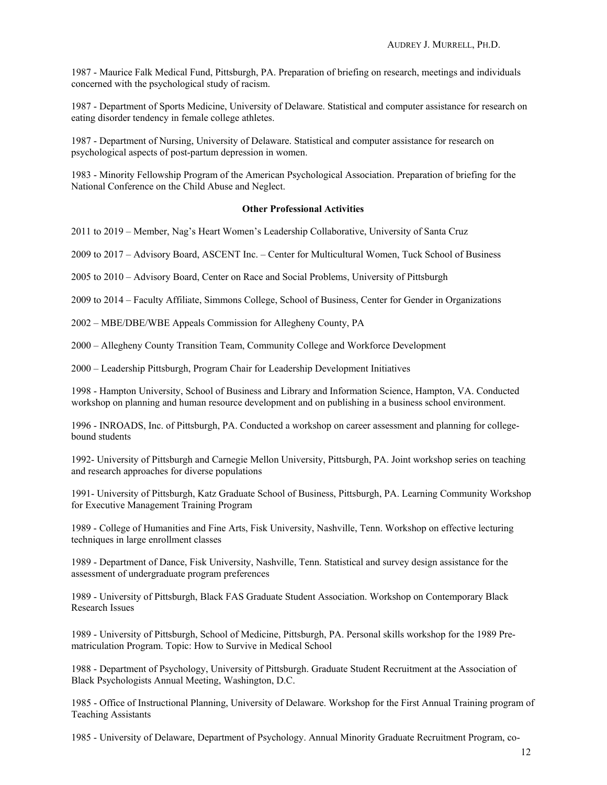1987 - Maurice Falk Medical Fund, Pittsburgh, PA. Preparation of briefing on research, meetings and individuals concerned with the psychological study of racism.

1987 - Department of Sports Medicine, University of Delaware. Statistical and computer assistance for research on eating disorder tendency in female college athletes.

1987 - Department of Nursing, University of Delaware. Statistical and computer assistance for research on psychological aspects of post-partum depression in women.

1983 - Minority Fellowship Program of the American Psychological Association. Preparation of briefing for the National Conference on the Child Abuse and Neglect.

### **Other Professional Activities**

2011 to 2019 – Member, Nag's Heart Women's Leadership Collaborative, University of Santa Cruz

2009 to 2017 – Advisory Board, ASCENT Inc. – Center for Multicultural Women, Tuck School of Business

2005 to 2010 – Advisory Board, Center on Race and Social Problems, University of Pittsburgh

2009 to 2014 – Faculty Affiliate, Simmons College, School of Business, Center for Gender in Organizations

2002 – MBE/DBE/WBE Appeals Commission for Allegheny County, PA

2000 – Allegheny County Transition Team, Community College and Workforce Development

2000 – Leadership Pittsburgh, Program Chair for Leadership Development Initiatives

1998 - Hampton University, School of Business and Library and Information Science, Hampton, VA. Conducted workshop on planning and human resource development and on publishing in a business school environment.

1996 - INROADS, Inc. of Pittsburgh, PA. Conducted a workshop on career assessment and planning for collegebound students

1992- University of Pittsburgh and Carnegie Mellon University, Pittsburgh, PA. Joint workshop series on teaching and research approaches for diverse populations

1991- University of Pittsburgh, Katz Graduate School of Business, Pittsburgh, PA. Learning Community Workshop for Executive Management Training Program

1989 - College of Humanities and Fine Arts, Fisk University, Nashville, Tenn. Workshop on effective lecturing techniques in large enrollment classes

1989 - Department of Dance, Fisk University, Nashville, Tenn. Statistical and survey design assistance for the assessment of undergraduate program preferences

1989 - University of Pittsburgh, Black FAS Graduate Student Association. Workshop on Contemporary Black Research Issues

1989 - University of Pittsburgh, School of Medicine, Pittsburgh, PA. Personal skills workshop for the 1989 Prematriculation Program. Topic: How to Survive in Medical School

1988 - Department of Psychology, University of Pittsburgh. Graduate Student Recruitment at the Association of Black Psychologists Annual Meeting, Washington, D.C.

1985 - Office of Instructional Planning, University of Delaware. Workshop for the First Annual Training program of Teaching Assistants

1985 - University of Delaware, Department of Psychology. Annual Minority Graduate Recruitment Program, co-